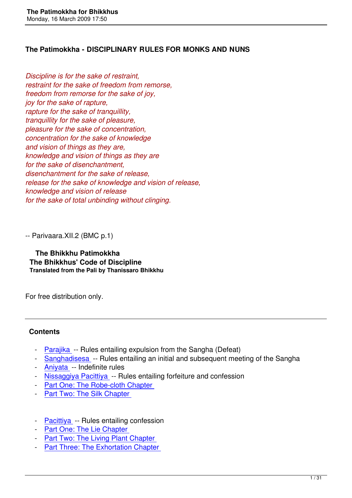*Discipline is for the sake of restraint, restraint for the sake of freedom from remorse, freedom from remorse for the sake of joy, joy for the sake of rapture, rapture for the sake of tranquillity, tranquillity for the sake of pleasure, pleasure for the sake of concentration, concentration for the sake of knowledge and vision of things as they are, knowledge and vision of things as they are for the sake of disenchantment, disenchantment for the sake of release, release for the sake of knowledge and vision of release, knowledge and vision of release for the sake of total unbinding without clinging.*

-- Parivaara.XII.2 (BMC p.1)

 **The Bhikkhu Patimokkha The Bhikkhus' Code of Discipline Translated from the Pali by Thanissaro Bhikkhu** 

For free distribution only.

## **Contents**

- Parajika -- Rules entailing expulsion from the Sangha (Defeat)
- Sanghadisesa -- Rules entailing an initial and subsequent meeting of the Sangha
- Aniyata -- Indefinite rules
- [Nissaggiy](#1)a Pacittiya -- Rules entailing forfeiture and confession
- [Part One: The R](#2)obe-cloth Chapter
- [Part Two](#3): The Silk Chapter
- [Pacittiya -- Rules entailing c](#6)[onfess](#5)ion
- Part One: The Lie Chapter
- Part Two: The Living Plant Chapter
- [Part Thre](#7)e: The Exhortation Chapter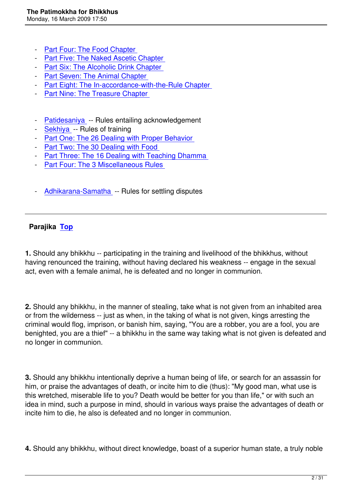- Part Four: The Food Chapter
- Part Five: The Naked Ascetic Chapter
- Part Six: The Alcoholic Drink Chapter
- [Part Seven: The Animal Chap](#11)ter
- [Part Eight: The In-accordance-with-the](#12)-Rule Chapter
- [Part Nine: The Treasure Chapter](#13)
- [Patidesaniya -- Rules entailing ac](#16)knowledgement
- Sekhiya -- Rules of training
- Part One: The 26 Dealing with Proper Behavior
- [Part Two: The](#17) 30 Dealing with Food
- [Part Thre](#18)e: The 16 Dealing with Teaching Dhamma
- [Part Four: The 3 Miscellaneous Rules](#19)
- [Adhikarana-Samatha -- Rules for settli](#22)[ng disputes](#21)

# **Par[ajika Top](#23)**

**1.** Should [any b](#toc)hikkhu -- participating in the training and livelihood of the bhikkhus, without having renounced the training, without having declared his weakness -- engage in the sexual act, even with a female animal, he is defeated and no longer in communion.

**2.** Should any bhikkhu, in the manner of stealing, take what is not given from an inhabited area or from the wilderness -- just as when, in the taking of what is not given, kings arresting the criminal would flog, imprison, or banish him, saying, "You are a robber, you are a fool, you are benighted, you are a thief" -- a bhikkhu in the same way taking what is not given is defeated and no longer in communion.

**3.** Should any bhikkhu intentionally deprive a human being of life, or search for an assassin for him, or praise the advantages of death, or incite him to die (thus): "My good man, what use is this wretched, miserable life to you? Death would be better for you than life," or with such an idea in mind, such a purpose in mind, should in various ways praise the advantages of death or incite him to die, he also is defeated and no longer in communion.

**4.** Should any bhikkhu, without direct knowledge, boast of a superior human state, a truly noble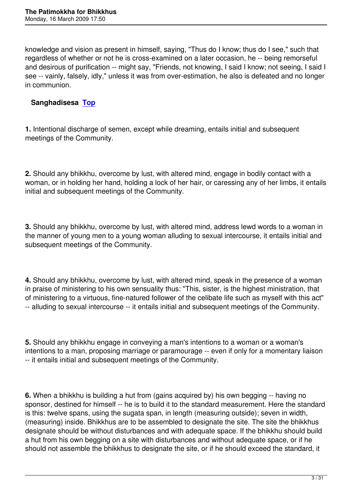knowledge and vision as present in himself, saying, "Thus do I know; thus do I see," such that regardless of whether or not he is cross-examined on a later occasion, he -- being remorseful and desirous of purification -- might say, "Friends, not knowing, I said I know; not seeing, I said I see -- vainly, falsely, idly," unless it was from over-estimation, he also is defeated and no longer in communion.

# **Sanghadisesa Top**

**1.** Intentional disc[harge](#toc) of semen, except while dreaming, entails initial and subsequent meetings of the Community.

**2.** Should any bhikkhu, overcome by lust, with altered mind, engage in bodily contact with a woman, or in holding her hand, holding a lock of her hair, or caressing any of her limbs, it entails initial and subsequent meetings of the Community.

**3.** Should any bhikkhu, overcome by lust, with altered mind, address lewd words to a woman in the manner of young men to a young woman alluding to sexual intercourse, it entails initial and subsequent meetings of the Community.

**4.** Should any bhikkhu, overcome by lust, with altered mind, speak in the presence of a woman in praise of ministering to his own sensuality thus: "This, sister, is the highest ministration, that of ministering to a virtuous, fine-natured follower of the celibate life such as myself with this act" -- alluding to sexual intercourse -- it entails initial and subsequent meetings of the Community.

**5.** Should any bhikkhu engage in conveying a man's intentions to a woman or a woman's intentions to a man, proposing marriage or paramourage -- even if only for a momentary liaison -- it entails initial and subsequent meetings of the Community.

**6.** When a bhikkhu is building a hut from (gains acquired by) his own begging -- having no sponsor, destined for himself -- he is to build it to the standard measurement. Here the standard is this: twelve spans, using the sugata span, in length (measuring outside); seven in width, (measuring) inside. Bhikkhus are to be assembled to designate the site. The site the bhikkhus designate should be without disturbances and with adequate space. If the bhikkhu should build a hut from his own begging on a site with disturbances and without adequate space, or if he should not assemble the bhikkhus to designate the site, or if he should exceed the standard, it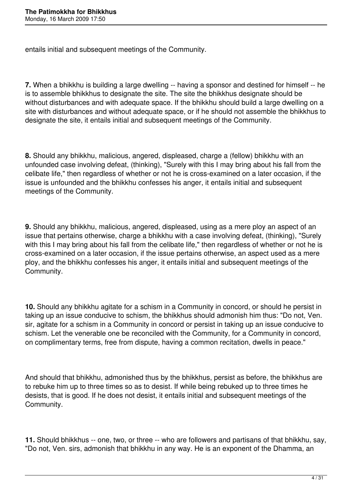entails initial and subsequent meetings of the Community.

**7.** When a bhikkhu is building a large dwelling -- having a sponsor and destined for himself -- he is to assemble bhikkhus to designate the site. The site the bhikkhus designate should be without disturbances and with adequate space. If the bhikkhu should build a large dwelling on a site with disturbances and without adequate space, or if he should not assemble the bhikkhus to designate the site, it entails initial and subsequent meetings of the Community.

**8.** Should any bhikkhu, malicious, angered, displeased, charge a (fellow) bhikkhu with an unfounded case involving defeat, (thinking), "Surely with this I may bring about his fall from the celibate life," then regardless of whether or not he is cross-examined on a later occasion, if the issue is unfounded and the bhikkhu confesses his anger, it entails initial and subsequent meetings of the Community.

**9.** Should any bhikkhu, malicious, angered, displeased, using as a mere ploy an aspect of an issue that pertains otherwise, charge a bhikkhu with a case involving defeat, (thinking), "Surely with this I may bring about his fall from the celibate life," then regardless of whether or not he is cross-examined on a later occasion, if the issue pertains otherwise, an aspect used as a mere ploy, and the bhikkhu confesses his anger, it entails initial and subsequent meetings of the Community.

**10.** Should any bhikkhu agitate for a schism in a Community in concord, or should he persist in taking up an issue conducive to schism, the bhikkhus should admonish him thus: "Do not, Ven. sir, agitate for a schism in a Community in concord or persist in taking up an issue conducive to schism. Let the venerable one be reconciled with the Community, for a Community in concord, on complimentary terms, free from dispute, having a common recitation, dwells in peace."

And should that bhikkhu, admonished thus by the bhikkhus, persist as before, the bhikkhus are to rebuke him up to three times so as to desist. If while being rebuked up to three times he desists, that is good. If he does not desist, it entails initial and subsequent meetings of the Community.

**11.** Should bhikkhus -- one, two, or three -- who are followers and partisans of that bhikkhu, say, "Do not, Ven. sirs, admonish that bhikkhu in any way. He is an exponent of the Dhamma, an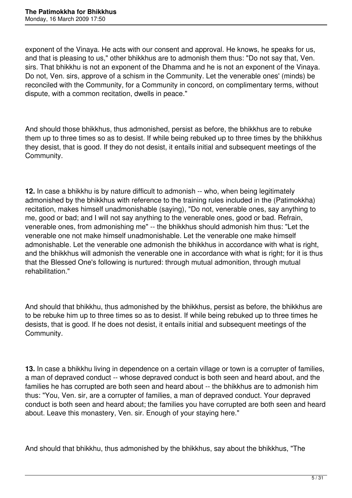exponent of the Vinaya. He acts with our consent and approval. He knows, he speaks for us, and that is pleasing to us," other bhikkhus are to admonish them thus: "Do not say that, Ven. sirs. That bhikkhu is not an exponent of the Dhamma and he is not an exponent of the Vinaya. Do not, Ven. sirs, approve of a schism in the Community. Let the venerable ones' (minds) be reconciled with the Community, for a Community in concord, on complimentary terms, without dispute, with a common recitation, dwells in peace."

And should those bhikkhus, thus admonished, persist as before, the bhikkhus are to rebuke them up to three times so as to desist. If while being rebuked up to three times by the bhikkhus they desist, that is good. If they do not desist, it entails initial and subsequent meetings of the Community.

**12.** In case a bhikkhu is by nature difficult to admonish -- who, when being legitimately admonished by the bhikkhus with reference to the training rules included in the (Patimokkha) recitation, makes himself unadmonishable (saying), "Do not, venerable ones, say anything to me, good or bad; and I will not say anything to the venerable ones, good or bad. Refrain, venerable ones, from admonishing me" -- the bhikkhus should admonish him thus: "Let the venerable one not make himself unadmonishable. Let the venerable one make himself admonishable. Let the venerable one admonish the bhikkhus in accordance with what is right, and the bhikkhus will admonish the venerable one in accordance with what is right; for it is thus that the Blessed One's following is nurtured: through mutual admonition, through mutual rehabilitation."

And should that bhikkhu, thus admonished by the bhikkhus, persist as before, the bhikkhus are to be rebuke him up to three times so as to desist. If while being rebuked up to three times he desists, that is good. If he does not desist, it entails initial and subsequent meetings of the Community.

**13.** In case a bhikkhu living in dependence on a certain village or town is a corrupter of families, a man of depraved conduct -- whose depraved conduct is both seen and heard about, and the families he has corrupted are both seen and heard about -- the bhikkhus are to admonish him thus: "You, Ven. sir, are a corrupter of families, a man of depraved conduct. Your depraved conduct is both seen and heard about; the families you have corrupted are both seen and heard about. Leave this monastery, Ven. sir. Enough of your staying here."

And should that bhikkhu, thus admonished by the bhikkhus, say about the bhikkhus, "The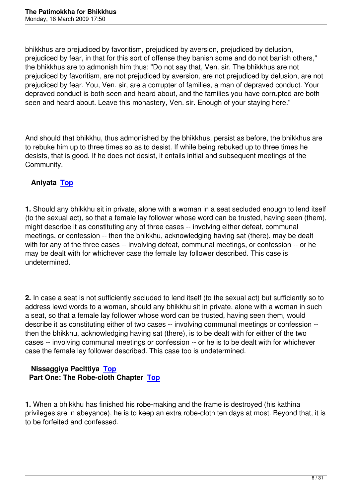bhikkhus are prejudiced by favoritism, prejudiced by aversion, prejudiced by delusion, prejudiced by fear, in that for this sort of offense they banish some and do not banish others," the bhikkhus are to admonish him thus: "Do not say that, Ven. sir. The bhikkhus are not prejudiced by favoritism, are not prejudiced by aversion, are not prejudiced by delusion, are not prejudiced by fear. You, Ven. sir, are a corrupter of families, a man of depraved conduct. Your depraved conduct is both seen and heard about, and the families you have corrupted are both seen and heard about. Leave this monastery, Ven. sir. Enough of your staying here."

And should that bhikkhu, thus admonished by the bhikkhus, persist as before, the bhikkhus are to rebuke him up to three times so as to desist. If while being rebuked up to three times he desists, that is good. If he does not desist, it entails initial and subsequent meetings of the Community.

# **Aniyata Top**

**1.** Should [any b](#toc)hikkhu sit in private, alone with a woman in a seat secluded enough to lend itself (to the sexual act), so that a female lay follower whose word can be trusted, having seen (them), might describe it as constituting any of three cases -- involving either defeat, communal meetings, or confession -- then the bhikkhu, acknowledging having sat (there), may be dealt with for any of the three cases -- involving defeat, communal meetings, or confession -- or he may be dealt with for whichever case the female lay follower described. This case is undetermined.

**2.** In case a seat is not sufficiently secluded to lend itself (to the sexual act) but sufficiently so to address lewd words to a woman, should any bhikkhu sit in private, alone with a woman in such a seat, so that a female lay follower whose word can be trusted, having seen them, would describe it as constituting either of two cases -- involving communal meetings or confession - then the bhikkhu, acknowledging having sat (there), is to be dealt with for either of the two cases -- involving communal meetings or confession -- or he is to be dealt with for whichever case the female lay follower described. This case too is undetermined.

### **Nissaggiya Pacittiya Top Part One: The Robe-cloth Chapter Top**

**1.** When a bhikkhu has fi[nishe](#toc)d his rob[e-ma](#toc)king and the frame is destroyed (his kathina privileges are in abeyance), he is to keep an extra robe-cloth ten days at most. Beyond that, it is to be forfeited and confessed.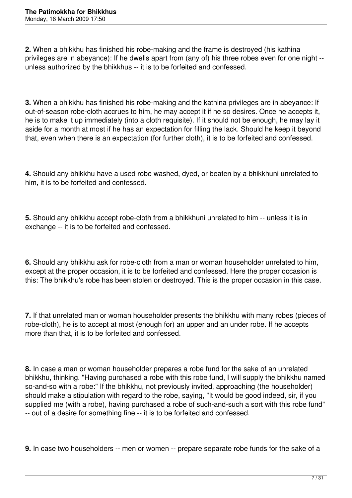**2.** When a bhikkhu has finished his robe-making and the frame is destroyed (his kathina privileges are in abeyance): If he dwells apart from (any of) his three robes even for one night - unless authorized by the bhikkhus -- it is to be forfeited and confessed.

**3.** When a bhikkhu has finished his robe-making and the kathina privileges are in abeyance: If out-of-season robe-cloth accrues to him, he may accept it if he so desires. Once he accepts it, he is to make it up immediately (into a cloth requisite). If it should not be enough, he may lay it aside for a month at most if he has an expectation for filling the lack. Should he keep it beyond that, even when there is an expectation (for further cloth), it is to be forfeited and confessed.

**4.** Should any bhikkhu have a used robe washed, dyed, or beaten by a bhikkhuni unrelated to him, it is to be forfeited and confessed.

**5.** Should any bhikkhu accept robe-cloth from a bhikkhuni unrelated to him -- unless it is in exchange -- it is to be forfeited and confessed.

**6.** Should any bhikkhu ask for robe-cloth from a man or woman householder unrelated to him, except at the proper occasion, it is to be forfeited and confessed. Here the proper occasion is this: The bhikkhu's robe has been stolen or destroyed. This is the proper occasion in this case.

**7.** If that unrelated man or woman householder presents the bhikkhu with many robes (pieces of robe-cloth), he is to accept at most (enough for) an upper and an under robe. If he accepts more than that, it is to be forfeited and confessed.

**8.** In case a man or woman householder prepares a robe fund for the sake of an unrelated bhikkhu, thinking. "Having purchased a robe with this robe fund, I will supply the bhikkhu named so-and-so with a robe:" If the bhikkhu, not previously invited, approaching (the householder) should make a stipulation with regard to the robe, saying, "It would be good indeed, sir, if you supplied me (with a robe), having purchased a robe of such-and-such a sort with this robe fund" -- out of a desire for something fine -- it is to be forfeited and confessed.

**9.** In case two householders -- men or women -- prepare separate robe funds for the sake of a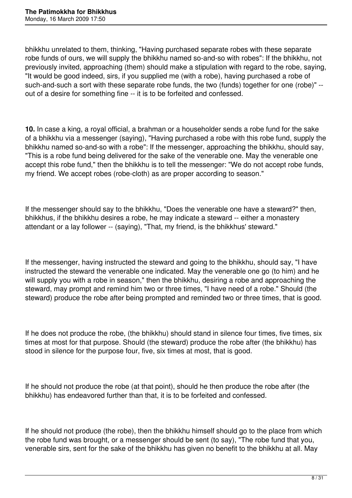bhikkhu unrelated to them, thinking, "Having purchased separate robes with these separate robe funds of ours, we will supply the bhikkhu named so-and-so with robes": If the bhikkhu, not previously invited, approaching (them) should make a stipulation with regard to the robe, saying, "It would be good indeed, sirs, if you supplied me (with a robe), having purchased a robe of such-and-such a sort with these separate robe funds, the two (funds) together for one (robe)" - out of a desire for something fine -- it is to be forfeited and confessed.

**10.** In case a king, a royal official, a brahman or a householder sends a robe fund for the sake of a bhikkhu via a messenger (saying), "Having purchased a robe with this robe fund, supply the bhikkhu named so-and-so with a robe": If the messenger, approaching the bhikkhu, should say, "This is a robe fund being delivered for the sake of the venerable one. May the venerable one accept this robe fund," then the bhikkhu is to tell the messenger: "We do not accept robe funds, my friend. We accept robes (robe-cloth) as are proper according to season."

If the messenger should say to the bhikkhu, "Does the venerable one have a steward?" then, bhikkhus, if the bhikkhu desires a robe, he may indicate a steward -- either a monastery attendant or a lay follower -- (saying), "That, my friend, is the bhikkhus' steward."

If the messenger, having instructed the steward and going to the bhikkhu, should say, "I have instructed the steward the venerable one indicated. May the venerable one go (to him) and he will supply you with a robe in season," then the bhikkhu, desiring a robe and approaching the steward, may prompt and remind him two or three times, "I have need of a robe." Should (the steward) produce the robe after being prompted and reminded two or three times, that is good.

If he does not produce the robe, (the bhikkhu) should stand in silence four times, five times, six times at most for that purpose. Should (the steward) produce the robe after (the bhikkhu) has stood in silence for the purpose four, five, six times at most, that is good.

If he should not produce the robe (at that point), should he then produce the robe after (the bhikkhu) has endeavored further than that, it is to be forfeited and confessed.

If he should not produce (the robe), then the bhikkhu himself should go to the place from which the robe fund was brought, or a messenger should be sent (to say), "The robe fund that you, venerable sirs, sent for the sake of the bhikkhu has given no benefit to the bhikkhu at all. May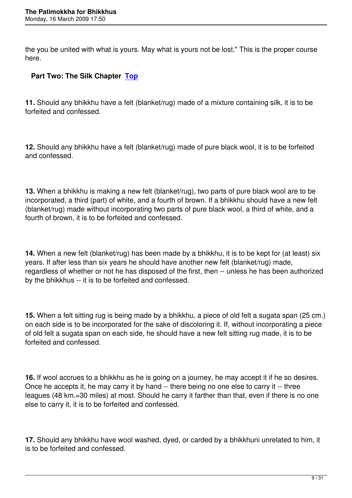the you be united with what is yours. May what is yours not be lost." This is the proper course here.

## **Part Two: The Silk Chapter Top**

**11.** Should any bhikkhu have a [felt \(](#toc)blanket/rug) made of a mixture containing silk, it is to be forfeited and confessed.

**12.** Should any bhikkhu have a felt (blanket/rug) made of pure black wool, it is to be forfeited and confessed.

**13.** When a bhikkhu is making a new felt (blanket/rug), two parts of pure black wool are to be incorporated, a third (part) of white, and a fourth of brown. If a bhikkhu should have a new felt (blanket/rug) made without incorporating two parts of pure black wool, a third of white, and a fourth of brown, it is to be forfeited and confessed.

**14.** When a new felt (blanket/rug) has been made by a bhikkhu, it is to be kept for (at least) six years. If after less than six years he should have another new felt (blanket/rug) made, regardless of whether or not he has disposed of the first, then -- unless he has been authorized by the bhikkhus -- it is to be forfeited and confessed.

**15.** When a felt sitting rug is being made by a bhikkhu, a piece of old felt a sugata span (25 cm.) on each side is to be incorporated for the sake of discoloring it. If, without incorporating a piece of old felt a sugata span on each side, he should have a new felt sitting rug made, it is to be forfeited and confessed.

**16.** If wool accrues to a bhikkhu as he is going on a journey, he may accept it if he so desires. Once he accepts it, he may carry it by hand -- there being no one else to carry it -- three leagues (48 km.=30 miles) at most. Should he carry it farther than that, even if there is no one else to carry it, it is to be forfeited and confessed.

**17.** Should any bhikkhu have wool washed, dyed, or carded by a bhikkhuni unrelated to him, it is to be forfeited and confessed.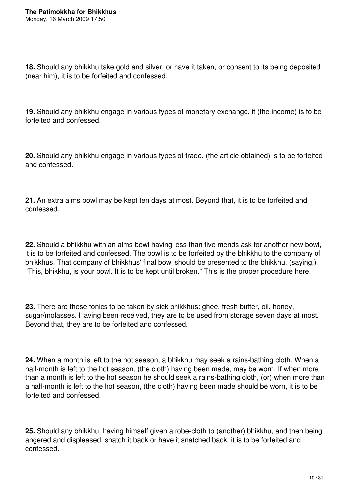**18.** Should any bhikkhu take gold and silver, or have it taken, or consent to its being deposited (near him), it is to be forfeited and confessed.

**19.** Should any bhikkhu engage in various types of monetary exchange, it (the income) is to be forfeited and confessed.

**20.** Should any bhikkhu engage in various types of trade, (the article obtained) is to be forfeited and confessed.

**21.** An extra alms bowl may be kept ten days at most. Beyond that, it is to be forfeited and confessed.

**22.** Should a bhikkhu with an alms bowl having less than five mends ask for another new bowl, it is to be forfeited and confessed. The bowl is to be forfeited by the bhikkhu to the company of bhikkhus. That company of bhikkhus' final bowl should be presented to the bhikkhu, (saying,) "This, bhikkhu, is your bowl. It is to be kept until broken." This is the proper procedure here.

**23.** There are these tonics to be taken by sick bhikkhus: ghee, fresh butter, oil, honey, sugar/molasses. Having been received, they are to be used from storage seven days at most. Beyond that, they are to be forfeited and confessed.

**24.** When a month is left to the hot season, a bhikkhu may seek a rains-bathing cloth. When a half-month is left to the hot season, (the cloth) having been made, may be worn. If when more than a month is left to the hot season he should seek a rains-bathing cloth, (or) when more than a half-month is left to the hot season, (the cloth) having been made should be worn, it is to be forfeited and confessed.

**25.** Should any bhikkhu, having himself given a robe-cloth to (another) bhikkhu, and then being angered and displeased, snatch it back or have it snatched back, it is to be forfeited and confessed.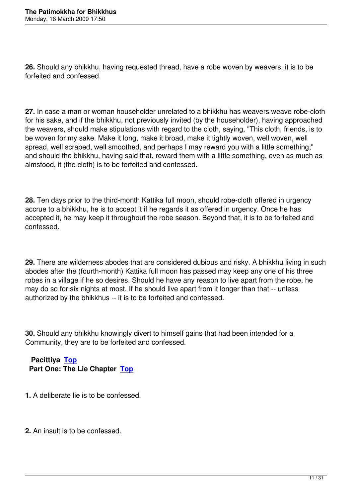**26.** Should any bhikkhu, having requested thread, have a robe woven by weavers, it is to be forfeited and confessed.

**27.** In case a man or woman householder unrelated to a bhikkhu has weavers weave robe-cloth for his sake, and if the bhikkhu, not previously invited (by the householder), having approached the weavers, should make stipulations with regard to the cloth, saying, "This cloth, friends, is to be woven for my sake. Make it long, make it broad, make it tightly woven, well woven, well spread, well scraped, well smoothed, and perhaps I may reward you with a little something;" and should the bhikkhu, having said that, reward them with a little something, even as much as almsfood, it (the cloth) is to be forfeited and confessed.

**28.** Ten days prior to the third-month Kattika full moon, should robe-cloth offered in urgency accrue to a bhikkhu, he is to accept it if he regards it as offered in urgency. Once he has accepted it, he may keep it throughout the robe season. Beyond that, it is to be forfeited and confessed.

**29.** There are wilderness abodes that are considered dubious and risky. A bhikkhu living in such abodes after the (fourth-month) Kattika full moon has passed may keep any one of his three robes in a village if he so desires. Should he have any reason to live apart from the robe, he may do so for six nights at most. If he should live apart from it longer than that -- unless authorized by the bhikkhus -- it is to be forfeited and confessed.

**30.** Should any bhikkhu knowingly divert to himself gains that had been intended for a Community, they are to be forfeited and confessed.

 **Pacittiya Top Part One: The Lie Chapter Top**

**1.** A deliber[ate lie](#toc) is to be con[fesse](#toc)d.

**2.** An insult is to be confessed.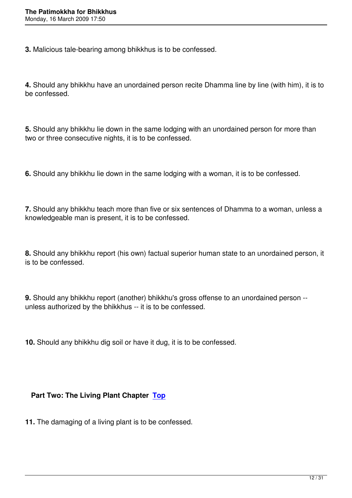**3.** Malicious tale-bearing among bhikkhus is to be confessed.

**4.** Should any bhikkhu have an unordained person recite Dhamma line by line (with him), it is to be confessed.

**5.** Should any bhikkhu lie down in the same lodging with an unordained person for more than two or three consecutive nights, it is to be confessed.

**6.** Should any bhikkhu lie down in the same lodging with a woman, it is to be confessed.

**7.** Should any bhikkhu teach more than five or six sentences of Dhamma to a woman, unless a knowledgeable man is present, it is to be confessed.

**8.** Should any bhikkhu report (his own) factual superior human state to an unordained person, it is to be confessed.

**9.** Should any bhikkhu report (another) bhikkhu's gross offense to an unordained person - unless authorized by the bhikkhus -- it is to be confessed.

**10.** Should any bhikkhu dig soil or have it dug, it is to be confessed.

## **Part Two: The Living Plant Chapter Top**

**11.** The damaging of a living plant is to b[e co](#toc)nfessed.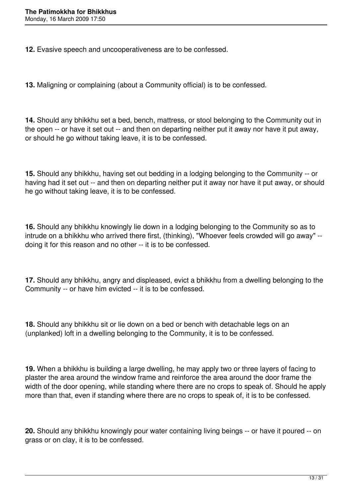**12.** Evasive speech and uncooperativeness are to be confessed.

**13.** Maligning or complaining (about a Community official) is to be confessed.

**14.** Should any bhikkhu set a bed, bench, mattress, or stool belonging to the Community out in the open -- or have it set out -- and then on departing neither put it away nor have it put away, or should he go without taking leave, it is to be confessed.

**15.** Should any bhikkhu, having set out bedding in a lodging belonging to the Community -- or having had it set out -- and then on departing neither put it away nor have it put away, or should he go without taking leave, it is to be confessed.

**16.** Should any bhikkhu knowingly lie down in a lodging belonging to the Community so as to intrude on a bhikkhu who arrived there first, (thinking), "Whoever feels crowded will go away" - doing it for this reason and no other -- it is to be confessed.

**17.** Should any bhikkhu, angry and displeased, evict a bhikkhu from a dwelling belonging to the Community -- or have him evicted -- it is to be confessed.

**18.** Should any bhikkhu sit or lie down on a bed or bench with detachable legs on an (unplanked) loft in a dwelling belonging to the Community, it is to be confessed.

**19.** When a bhikkhu is building a large dwelling, he may apply two or three layers of facing to plaster the area around the window frame and reinforce the area around the door frame the width of the door opening, while standing where there are no crops to speak of. Should he apply more than that, even if standing where there are no crops to speak of, it is to be confessed.

**20.** Should any bhikkhu knowingly pour water containing living beings -- or have it poured -- on grass or on clay, it is to be confessed.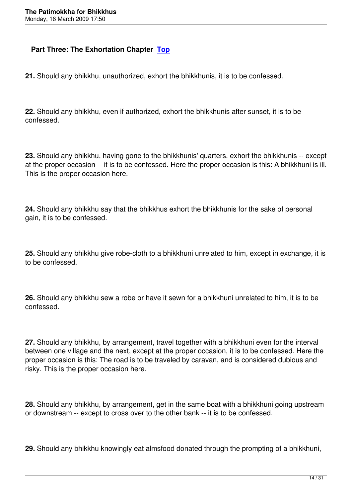### **Part Three: The Exhortation Chapter Top**

**21.** Should any bhikkhu, unauthorized, ex[hort t](#toc)he bhikkhunis, it is to be confessed.

**22.** Should any bhikkhu, even if authorized, exhort the bhikkhunis after sunset, it is to be confessed.

**23.** Should any bhikkhu, having gone to the bhikkhunis' quarters, exhort the bhikkhunis -- except at the proper occasion -- it is to be confessed. Here the proper occasion is this: A bhikkhuni is ill. This is the proper occasion here.

**24.** Should any bhikkhu say that the bhikkhus exhort the bhikkhunis for the sake of personal gain, it is to be confessed.

**25.** Should any bhikkhu give robe-cloth to a bhikkhuni unrelated to him, except in exchange, it is to be confessed.

**26.** Should any bhikkhu sew a robe or have it sewn for a bhikkhuni unrelated to him, it is to be confessed.

**27.** Should any bhikkhu, by arrangement, travel together with a bhikkhuni even for the interval between one village and the next, except at the proper occasion, it is to be confessed. Here the proper occasion is this: The road is to be traveled by caravan, and is considered dubious and risky. This is the proper occasion here.

**28.** Should any bhikkhu, by arrangement, get in the same boat with a bhikkhuni going upstream or downstream -- except to cross over to the other bank -- it is to be confessed.

**29.** Should any bhikkhu knowingly eat almsfood donated through the prompting of a bhikkhuni,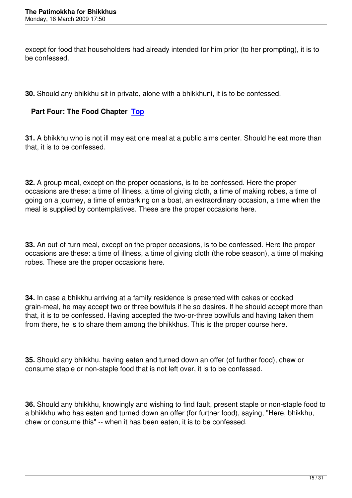except for food that householders had already intended for him prior (to her prompting), it is to be confessed.

**30.** Should any bhikkhu sit in private, alone with a bhikkhuni, it is to be confessed.

## **Part Four: The Food Chapter Top**

**31.** A bhikkhu who is not ill may e[at on](#toc)e meal at a public alms center. Should he eat more than that, it is to be confessed.

**32.** A group meal, except on the proper occasions, is to be confessed. Here the proper occasions are these: a time of illness, a time of giving cloth, a time of making robes, a time of going on a journey, a time of embarking on a boat, an extraordinary occasion, a time when the meal is supplied by contemplatives. These are the proper occasions here.

**33.** An out-of-turn meal, except on the proper occasions, is to be confessed. Here the proper occasions are these: a time of illness, a time of giving cloth (the robe season), a time of making robes. These are the proper occasions here.

**34.** In case a bhikkhu arriving at a family residence is presented with cakes or cooked grain-meal, he may accept two or three bowlfuls if he so desires. If he should accept more than that, it is to be confessed. Having accepted the two-or-three bowlfuls and having taken them from there, he is to share them among the bhikkhus. This is the proper course here.

**35.** Should any bhikkhu, having eaten and turned down an offer (of further food), chew or consume staple or non-staple food that is not left over, it is to be confessed.

**36.** Should any bhikkhu, knowingly and wishing to find fault, present staple or non-staple food to a bhikkhu who has eaten and turned down an offer (for further food), saying, "Here, bhikkhu, chew or consume this" -- when it has been eaten, it is to be confessed.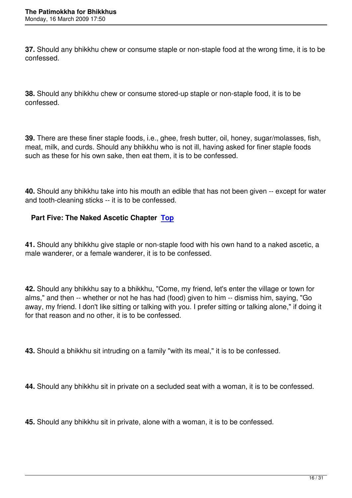**37.** Should any bhikkhu chew or consume staple or non-staple food at the wrong time, it is to be confessed.

**38.** Should any bhikkhu chew or consume stored-up staple or non-staple food, it is to be confessed.

**39.** There are these finer staple foods, i.e., ghee, fresh butter, oil, honey, sugar/molasses, fish, meat, milk, and curds. Should any bhikkhu who is not ill, having asked for finer staple foods such as these for his own sake, then eat them, it is to be confessed.

**40.** Should any bhikkhu take into his mouth an edible that has not been given -- except for water and tooth-cleaning sticks -- it is to be confessed.

### **Part Five: The Naked Ascetic Chapter Top**

**41.** Should any bhikkhu give staple or non-[stapl](#toc)e food with his own hand to a naked ascetic, a male wanderer, or a female wanderer, it is to be confessed.

**42.** Should any bhikkhu say to a bhikkhu, "Come, my friend, let's enter the village or town for alms," and then -- whether or not he has had (food) given to him -- dismiss him, saying, "Go away, my friend. I don't like sitting or talking with you. I prefer sitting or talking alone," if doing it for that reason and no other, it is to be confessed.

**43.** Should a bhikkhu sit intruding on a family "with its meal," it is to be confessed.

**44.** Should any bhikkhu sit in private on a secluded seat with a woman, it is to be confessed.

**45.** Should any bhikkhu sit in private, alone with a woman, it is to be confessed.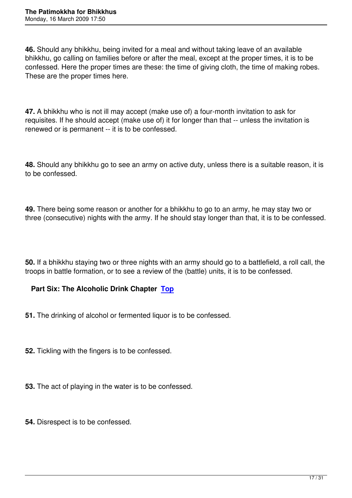**46.** Should any bhikkhu, being invited for a meal and without taking leave of an available bhikkhu, go calling on families before or after the meal, except at the proper times, it is to be confessed. Here the proper times are these: the time of giving cloth, the time of making robes. These are the proper times here.

**47.** A bhikkhu who is not ill may accept (make use of) a four-month invitation to ask for requisites. If he should accept (make use of) it for longer than that -- unless the invitation is renewed or is permanent -- it is to be confessed.

**48.** Should any bhikkhu go to see an army on active duty, unless there is a suitable reason, it is to be confessed.

**49.** There being some reason or another for a bhikkhu to go to an army, he may stay two or three (consecutive) nights with the army. If he should stay longer than that, it is to be confessed.

**50.** If a bhikkhu staying two or three nights with an army should go to a battlefield, a roll call, the troops in battle formation, or to see a review of the (battle) units, it is to be confessed.

### **Part Six: The Alcoholic Drink Chapter Top**

- **51.** The drinking of alcohol or fermented liq[uor is](#toc) to be confessed.
- **52.** Tickling with the fingers is to be confessed.
- **53.** The act of playing in the water is to be confessed.
- **54.** Disrespect is to be confessed.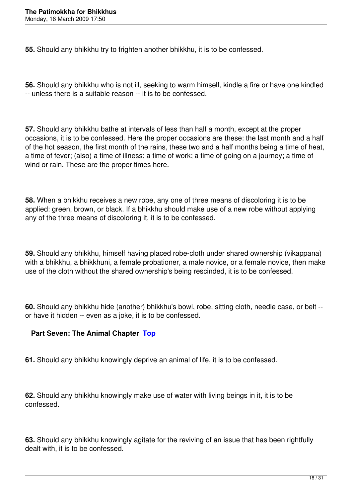**55.** Should any bhikkhu try to frighten another bhikkhu, it is to be confessed.

**56.** Should any bhikkhu who is not ill, seeking to warm himself, kindle a fire or have one kindled -- unless there is a suitable reason -- it is to be confessed.

**57.** Should any bhikkhu bathe at intervals of less than half a month, except at the proper occasions, it is to be confessed. Here the proper occasions are these: the last month and a half of the hot season, the first month of the rains, these two and a half months being a time of heat, a time of fever; (also) a time of illness; a time of work; a time of going on a journey; a time of wind or rain. These are the proper times here.

**58.** When a bhikkhu receives a new robe, any one of three means of discoloring it is to be applied: green, brown, or black. If a bhikkhu should make use of a new robe without applying any of the three means of discoloring it, it is to be confessed.

**59.** Should any bhikkhu, himself having placed robe-cloth under shared ownership (vikappana) with a bhikkhu, a bhikkhuni, a female probationer, a male novice, or a female novice, then make use of the cloth without the shared ownership's being rescinded, it is to be confessed.

**60.** Should any bhikkhu hide (another) bhikkhu's bowl, robe, sitting cloth, needle case, or belt - or have it hidden -- even as a joke, it is to be confessed.

## **Part Seven: The Animal Chapter Top**

**61.** Should any bhikkhu knowingly de[prive](#toc) an animal of life, it is to be confessed.

**62.** Should any bhikkhu knowingly make use of water with living beings in it, it is to be confessed.

**63.** Should any bhikkhu knowingly agitate for the reviving of an issue that has been rightfully dealt with, it is to be confessed.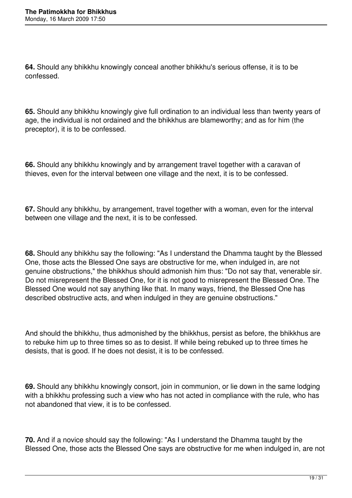**64.** Should any bhikkhu knowingly conceal another bhikkhu's serious offense, it is to be confessed.

**65.** Should any bhikkhu knowingly give full ordination to an individual less than twenty years of age, the individual is not ordained and the bhikkhus are blameworthy; and as for him (the preceptor), it is to be confessed.

**66.** Should any bhikkhu knowingly and by arrangement travel together with a caravan of thieves, even for the interval between one village and the next, it is to be confessed.

**67.** Should any bhikkhu, by arrangement, travel together with a woman, even for the interval between one village and the next, it is to be confessed.

**68.** Should any bhikkhu say the following: "As I understand the Dhamma taught by the Blessed One, those acts the Blessed One says are obstructive for me, when indulged in, are not genuine obstructions," the bhikkhus should admonish him thus: "Do not say that, venerable sir. Do not misrepresent the Blessed One, for it is not good to misrepresent the Blessed One. The Blessed One would not say anything like that. In many ways, friend, the Blessed One has described obstructive acts, and when indulged in they are genuine obstructions."

And should the bhikkhu, thus admonished by the bhikkhus, persist as before, the bhikkhus are to rebuke him up to three times so as to desist. If while being rebuked up to three times he desists, that is good. If he does not desist, it is to be confessed.

**69.** Should any bhikkhu knowingly consort, join in communion, or lie down in the same lodging with a bhikkhu professing such a view who has not acted in compliance with the rule, who has not abandoned that view, it is to be confessed.

**70.** And if a novice should say the following: "As I understand the Dhamma taught by the Blessed One, those acts the Blessed One says are obstructive for me when indulged in, are not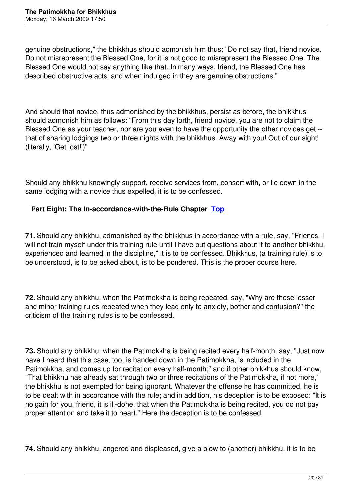genuine obstructions," the bhikkhus should admonish him thus: "Do not say that, friend novice. Do not misrepresent the Blessed One, for it is not good to misrepresent the Blessed One. The Blessed One would not say anything like that. In many ways, friend, the Blessed One has described obstructive acts, and when indulged in they are genuine obstructions."

And should that novice, thus admonished by the bhikkhus, persist as before, the bhikkhus should admonish him as follows: "From this day forth, friend novice, you are not to claim the Blessed One as your teacher, nor are you even to have the opportunity the other novices get - that of sharing lodgings two or three nights with the bhikkhus. Away with you! Out of our sight! (literally, 'Get lost!')"

Should any bhikkhu knowingly support, receive services from, consort with, or lie down in the same lodging with a novice thus expelled, it is to be confessed.

## **Part Eight: The In-accordance-with-the-Rule Chapter Top**

**71.** Should any bhikkhu, admonished by the bhikkhus in ac[corda](#toc)nce with a rule, say, "Friends, I will not train myself under this training rule until I have put questions about it to another bhikkhu, experienced and learned in the discipline," it is to be confessed. Bhikkhus, (a training rule) is to be understood, is to be asked about, is to be pondered. This is the proper course here.

**72.** Should any bhikkhu, when the Patimokkha is being repeated, say, "Why are these lesser and minor training rules repeated when they lead only to anxiety, bother and confusion?" the criticism of the training rules is to be confessed.

**73.** Should any bhikkhu, when the Patimokkha is being recited every half-month, say, "Just now have I heard that this case, too, is handed down in the Patimokkha, is included in the Patimokkha, and comes up for recitation every half-month;" and if other bhikkhus should know, "That bhikkhu has already sat through two or three recitations of the Patimokkha, if not more," the bhikkhu is not exempted for being ignorant. Whatever the offense he has committed, he is to be dealt with in accordance with the rule; and in addition, his deception is to be exposed: "It is no gain for you, friend, it is ill-done, that when the Patimokkha is being recited, you do not pay proper attention and take it to heart." Here the deception is to be confessed.

**74.** Should any bhikkhu, angered and displeased, give a blow to (another) bhikkhu, it is to be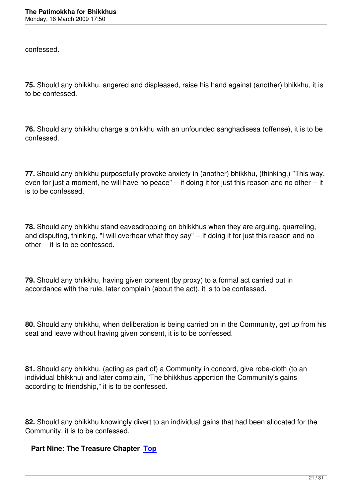**75.** Should any bhikkhu, angered and displeased, raise his hand against (another) bhikkhu, it is to be confessed.

**76.** Should any bhikkhu charge a bhikkhu with an unfounded sanghadisesa (offense), it is to be confessed.

**77.** Should any bhikkhu purposefully provoke anxiety in (another) bhikkhu, (thinking,) "This way, even for just a moment, he will have no peace" -- if doing it for just this reason and no other -- it is to be confessed.

**78.** Should any bhikkhu stand eavesdropping on bhikkhus when they are arguing, quarreling, and disputing, thinking, "I will overhear what they say" -- if doing it for just this reason and no other -- it is to be confessed.

**79.** Should any bhikkhu, having given consent (by proxy) to a formal act carried out in accordance with the rule, later complain (about the act), it is to be confessed.

**80.** Should any bhikkhu, when deliberation is being carried on in the Community, get up from his seat and leave without having given consent, it is to be confessed.

**81.** Should any bhikkhu, (acting as part of) a Community in concord, give robe-cloth (to an individual bhikkhu) and later complain, "The bhikkhus apportion the Community's gains according to friendship," it is to be confessed.

**82.** Should any bhikkhu knowingly divert to an individual gains that had been allocated for the Community, it is to be confessed.

## **Part Nine: The Treasure Chapter Top**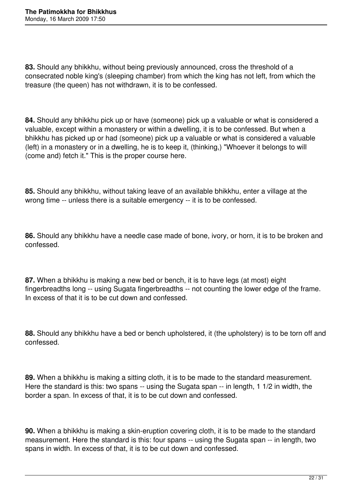**83.** Should any bhikkhu, without being previously announced, cross the threshold of a consecrated noble king's (sleeping chamber) from which the king has not left, from which the treasure (the queen) has not withdrawn, it is to be confessed.

**84.** Should any bhikkhu pick up or have (someone) pick up a valuable or what is considered a valuable, except within a monastery or within a dwelling, it is to be confessed. But when a bhikkhu has picked up or had (someone) pick up a valuable or what is considered a valuable (left) in a monastery or in a dwelling, he is to keep it, (thinking,) "Whoever it belongs to will (come and) fetch it." This is the proper course here.

**85.** Should any bhikkhu, without taking leave of an available bhikkhu, enter a village at the wrong time -- unless there is a suitable emergency -- it is to be confessed.

**86.** Should any bhikkhu have a needle case made of bone, ivory, or horn, it is to be broken and confessed.

**87.** When a bhikkhu is making a new bed or bench, it is to have legs (at most) eight fingerbreadths long -- using Sugata fingerbreadths -- not counting the lower edge of the frame. In excess of that it is to be cut down and confessed.

**88.** Should any bhikkhu have a bed or bench upholstered, it (the upholstery) is to be torn off and confessed.

**89.** When a bhikkhu is making a sitting cloth, it is to be made to the standard measurement. Here the standard is this: two spans -- using the Sugata span -- in length, 1 1/2 in width, the border a span. In excess of that, it is to be cut down and confessed.

**90.** When a bhikkhu is making a skin-eruption covering cloth, it is to be made to the standard measurement. Here the standard is this: four spans -- using the Sugata span -- in length, two spans in width. In excess of that, it is to be cut down and confessed.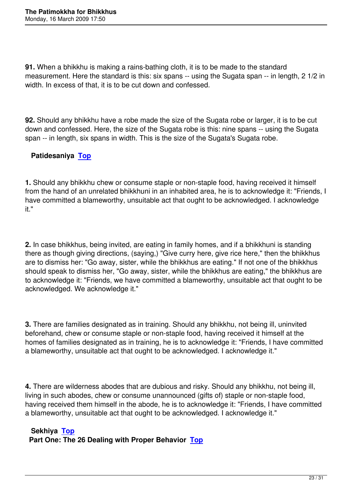**91.** When a bhikkhu is making a rains-bathing cloth, it is to be made to the standard measurement. Here the standard is this: six spans -- using the Sugata span -- in length, 2 1/2 in width. In excess of that, it is to be cut down and confessed.

**92.** Should any bhikkhu have a robe made the size of the Sugata robe or larger, it is to be cut down and confessed. Here, the size of the Sugata robe is this: nine spans -- using the Sugata span -- in length, six spans in width. This is the size of the Sugata's Sugata robe.

# **Patidesaniya Top**

**1.** Should any b[hikkhu](#toc) chew or consume staple or non-staple food, having received it himself from the hand of an unrelated bhikkhuni in an inhabited area, he is to acknowledge it: "Friends, I have committed a blameworthy, unsuitable act that ought to be acknowledged. I acknowledge it."

**2.** In case bhikkhus, being invited, are eating in family homes, and if a bhikkhuni is standing there as though giving directions, (saying,) "Give curry here, give rice here," then the bhikkhus are to dismiss her: "Go away, sister, while the bhikkhus are eating." If not one of the bhikkhus should speak to dismiss her, "Go away, sister, while the bhikkhus are eating," the bhikkhus are to acknowledge it: "Friends, we have committed a blameworthy, unsuitable act that ought to be acknowledged. We acknowledge it."

**3.** There are families designated as in training. Should any bhikkhu, not being ill, uninvited beforehand, chew or consume staple or non-staple food, having received it himself at the homes of families designated as in training, he is to acknowledge it: "Friends, I have committed a blameworthy, unsuitable act that ought to be acknowledged. I acknowledge it."

**4.** There are wilderness abodes that are dubious and risky. Should any bhikkhu, not being ill, living in such abodes, chew or consume unannounced (gifts of) staple or non-staple food, having received them himself in the abode, he is to acknowledge it: "Friends, I have committed a blameworthy, unsuitable act that ought to be acknowledged. I acknowledge it."

## **Sekhiya Top**

**Part One: The 26 Dealing with Proper Behavior Top**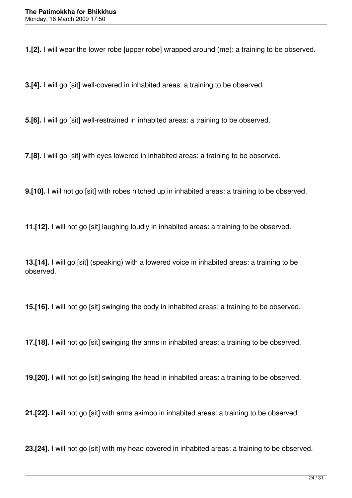**1.[2].** I will wear the lower robe [upper robe] wrapped around (me): a training to be observed.

**3.[4].** I will go [sit] well-covered in inhabited areas: a training to be observed.

**5.[6].** I will go [sit] well-restrained in inhabited areas: a training to be observed.

**7.[8].** I will go [sit] with eyes lowered in inhabited areas: a training to be observed.

**9.[10].** I will not go [sit] with robes hitched up in inhabited areas: a training to be observed.

**11.[12].** I will not go [sit] laughing loudly in inhabited areas: a training to be observed.

**13.[14].** I will go [sit] (speaking) with a lowered voice in inhabited areas: a training to be observed.

**15.[16].** I will not go [sit] swinging the body in inhabited areas: a training to be observed.

**17.[18].** I will not go [sit] swinging the arms in inhabited areas: a training to be observed.

**19.[20].** I will not go [sit] swinging the head in inhabited areas: a training to be observed.

**21.[22].** I will not go [sit] with arms akimbo in inhabited areas: a training to be observed.

**23.[24].** I will not go [sit] with my head covered in inhabited areas: a training to be observed.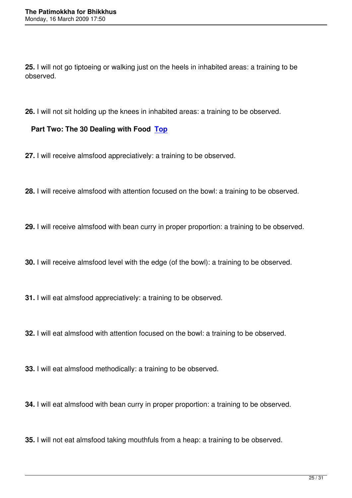**25.** I will not go tiptoeing or walking just on the heels in inhabited areas: a training to be observed.

**26.** I will not sit holding up the knees in inhabited areas: a training to be observed.

### **Part Two: The 30 Dealing with Food Top**

**27.** I will receive almsfood appreciatively: [a tra](#toc)ining to be observed.

**28.** I will receive almsfood with attention focused on the bowl: a training to be observed.

**29.** I will receive almsfood with bean curry in proper proportion: a training to be observed.

**30.** I will receive almsfood level with the edge (of the bowl): a training to be observed.

**31.** I will eat almsfood appreciatively: a training to be observed.

**32.** I will eat almsfood with attention focused on the bowl: a training to be observed.

**33.** I will eat almsfood methodically: a training to be observed.

**34.** I will eat almsfood with bean curry in proper proportion: a training to be observed.

**35.** I will not eat almsfood taking mouthfuls from a heap: a training to be observed.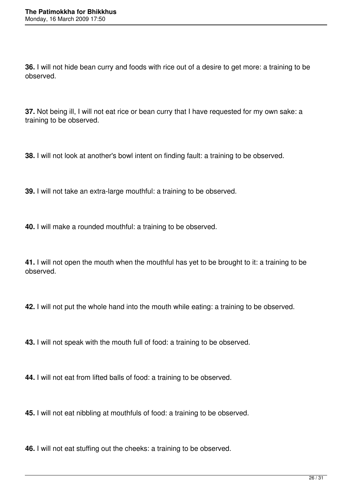**36.** I will not hide bean curry and foods with rice out of a desire to get more: a training to be observed.

**37.** Not being ill, I will not eat rice or bean curry that I have requested for my own sake: a training to be observed.

**38.** I will not look at another's bowl intent on finding fault: a training to be observed.

**39.** I will not take an extra-large mouthful: a training to be observed.

**40.** I will make a rounded mouthful: a training to be observed.

**41.** I will not open the mouth when the mouthful has yet to be brought to it: a training to be observed.

**42.** I will not put the whole hand into the mouth while eating: a training to be observed.

**43.** I will not speak with the mouth full of food: a training to be observed.

**44.** I will not eat from lifted balls of food: a training to be observed.

**45.** I will not eat nibbling at mouthfuls of food: a training to be observed.

**46.** I will not eat stuffing out the cheeks: a training to be observed.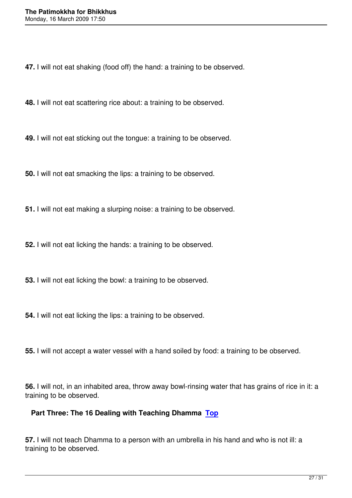**47.** I will not eat shaking (food off) the hand: a training to be observed.

**48.** I will not eat scattering rice about: a training to be observed.

**49.** I will not eat sticking out the tongue: a training to be observed.

**50.** I will not eat smacking the lips: a training to be observed.

**51.** I will not eat making a slurping noise: a training to be observed.

**52.** I will not eat licking the hands: a training to be observed.

**53.** I will not eat licking the bowl: a training to be observed.

**54.** I will not eat licking the lips: a training to be observed.

**55.** I will not accept a water vessel with a hand soiled by food: a training to be observed.

**56.** I will not, in an inhabited area, throw away bowl-rinsing water that has grains of rice in it: a training to be observed.

## **Part Three: The 16 Dealing with Teaching Dhamma Top**

**57.** I will not teach Dhamma to a person with an umbrella [in hi](#toc)s hand and who is not ill: a training to be observed.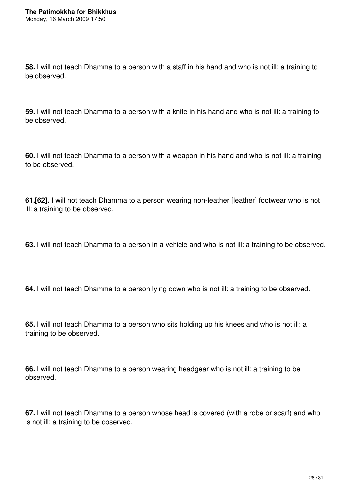**58.** I will not teach Dhamma to a person with a staff in his hand and who is not ill: a training to be observed.

**59.** I will not teach Dhamma to a person with a knife in his hand and who is not ill: a training to be observed.

**60.** I will not teach Dhamma to a person with a weapon in his hand and who is not ill: a training to be observed.

**61.[62].** I will not teach Dhamma to a person wearing non-leather [leather] footwear who is not ill: a training to be observed.

**63.** I will not teach Dhamma to a person in a vehicle and who is not ill: a training to be observed.

**64.** I will not teach Dhamma to a person lying down who is not ill: a training to be observed.

**65.** I will not teach Dhamma to a person who sits holding up his knees and who is not ill: a training to be observed.

**66.** I will not teach Dhamma to a person wearing headgear who is not ill: a training to be observed.

**67.** I will not teach Dhamma to a person whose head is covered (with a robe or scarf) and who is not ill: a training to be observed.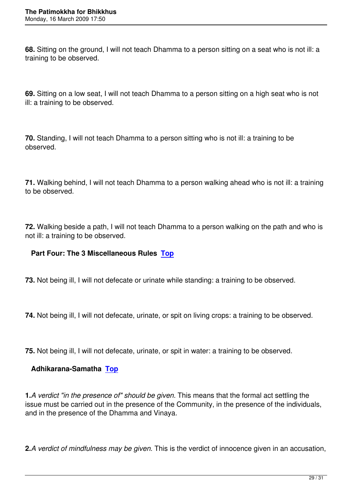**68.** Sitting on the ground, I will not teach Dhamma to a person sitting on a seat who is not ill: a training to be observed.

**69.** Sitting on a low seat, I will not teach Dhamma to a person sitting on a high seat who is not ill: a training to be observed.

**70.** Standing, I will not teach Dhamma to a person sitting who is not ill: a training to be observed.

**71.** Walking behind, I will not teach Dhamma to a person walking ahead who is not ill: a training to be observed.

**72.** Walking beside a path, I will not teach Dhamma to a person walking on the path and who is not ill: a training to be observed.

## **Part Four: The 3 Miscellaneous Rules Top**

**73.** Not being ill, I will not defecate or urinat[e wh](#toc)ile standing: a training to be observed.

**74.** Not being ill, I will not defecate, urinate, or spit on living crops: a training to be observed.

**75.** Not being ill, I will not defecate, urinate, or spit in water: a training to be observed.

### **Adhikarana-Samatha Top**

**1.***A verdict "in the presen[ce of](#toc)" should be given.* This means that the formal act settling the issue must be carried out in the presence of the Community, in the presence of the individuals, and in the presence of the Dhamma and Vinaya.

**2.***A verdict of mindfulness may be given.* This is the verdict of innocence given in an accusation,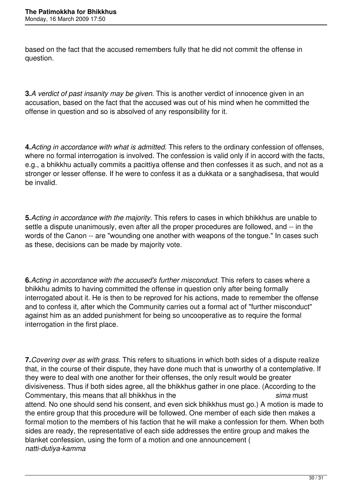based on the fact that the accused remembers fully that he did not commit the offense in question.

**3.** A verdict of past insanity may be given. This is another verdict of innocence given in an accusation, based on the fact that the accused was out of his mind when he committed the offense in question and so is absolved of any responsibility for it.

**4.***Acting in accordance with what is admitted.* This refers to the ordinary confession of offenses, where no formal interrogation is involved. The confession is valid only if in accord with the facts, e.g., a bhikkhu actually commits a pacittiya offense and then confesses it as such, and not as a stronger or lesser offense. If he were to confess it as a dukkata or a sanghadisesa, that would be invalid.

**5.***Acting in accordance with the majority.* This refers to cases in which bhikkhus are unable to settle a dispute unanimously, even after all the proper procedures are followed, and -- in the words of the Canon -- are "wounding one another with weapons of the tongue." In cases such as these, decisions can be made by majority vote.

**6.***Acting in accordance with the accused's further misconduct.* This refers to cases where a bhikkhu admits to having committed the offense in question only after being formally interrogated about it. He is then to be reproved for his actions, made to remember the offense and to confess it, after which the Community carries out a formal act of "further misconduct" against him as an added punishment for being so uncooperative as to require the formal interrogation in the first place.

**7.***Covering over as with grass.* This refers to situations in which both sides of a dispute realize that, in the course of their dispute, they have done much that is unworthy of a contemplative. If they were to deal with one another for their offenses, the only result would be greater divisiveness. Thus if both sides agree, all the bhikkhus gather in one place. (According to the Commentary, this means that all bhikkhus in the *sima* must attend. No one should send his consent, and even sick bhikkhus must go.) A motion is made to the entire group that this procedure will be followed. One member of each side then makes a formal motion to the members of his faction that he will make a confession for them. When both sides are ready, the representative of each side addresses the entire group and makes the blanket confession, using the form of a motion and one announcement ( *natti-dutiya-kamma*